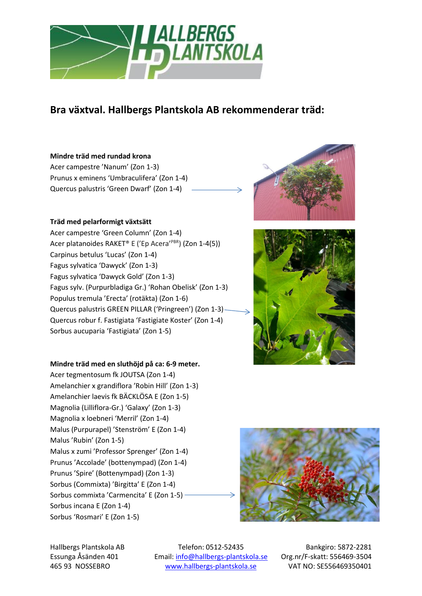

# **Bra växtval. Hallbergs Plantskola AB rekommenderar träd:**

# **Mindre träd med rundad krona**

Acer campestre 'Nanum' (Zon 1-3) Prunus x eminens 'Umbraculifera' (Zon 1-4) Quercus palustris 'Green Dwarf' (Zon 1-4)

#### **Träd med pelarformigt växtsätt**

Acer campestre 'Green Column' (Zon 1-4) Acer platanoides RAKET® E ('Ep Acera'<sup>PBR</sup>) (Zon 1-4(5)) Carpinus betulus 'Lucas' (Zon 1-4) Fagus sylvatica 'Dawyck' (Zon 1-3) Fagus sylvatica 'Dawyck Gold' (Zon 1-3) Fagus sylv. (Purpurbladiga Gr.) 'Rohan Obelisk' (Zon 1-3) Populus tremula 'Erecta' (rotäkta) (Zon 1-6) Quercus palustris GREEN PILLAR ('Pringreen') (Zon 1-3) Quercus robur f. Fastigiata 'Fastigiate Koster' (Zon 1-4) Sorbus aucuparia 'Fastigiata' (Zon 1-5)

# **Mindre träd med en sluthöjd på ca: 6-9 meter.**

Acer tegmentosum fk JOUTSA (Zon 1-4) Amelanchier x grandiflora 'Robin Hill' (Zon 1-3) Amelanchier laevis fk BÄCKLÖSA E (Zon 1-5) Magnolia (Lilliflora-Gr.) 'Galaxy' (Zon 1-3) Magnolia x loebneri 'Merril' (Zon 1-4) Malus (Purpurapel) 'Stenström' E (Zon 1-4) Malus 'Rubin' (Zon 1-5) Malus x zumi 'Professor Sprenger' (Zon 1-4) Prunus 'Accolade' (bottenympad) (Zon 1-4) Prunus 'Spire' (Bottenympad) (Zon 1-3) Sorbus (Commixta) 'Birgitta' E (Zon 1-4) Sorbus commixta 'Carmencita' E (Zon 1-5) Sorbus incana E (Zon 1-4) Sorbus 'Rosmari' E (Zon 1-5)



Hallbergs Plantskola AB Telefon: 0512-52435 Bankgiro: 5872-2281 Essunga Åsänden 401 Email[: info@hallbergs-plantskola.se](mailto:info@hallbergs-plantskola.se) Org.nr/F-skatt: 556469-3504 465 93 NOSSEBRO [www.hallbergs-plantskola.se](http://www.hallbergs-plantskola.se/) VAT NO: SE556469350401